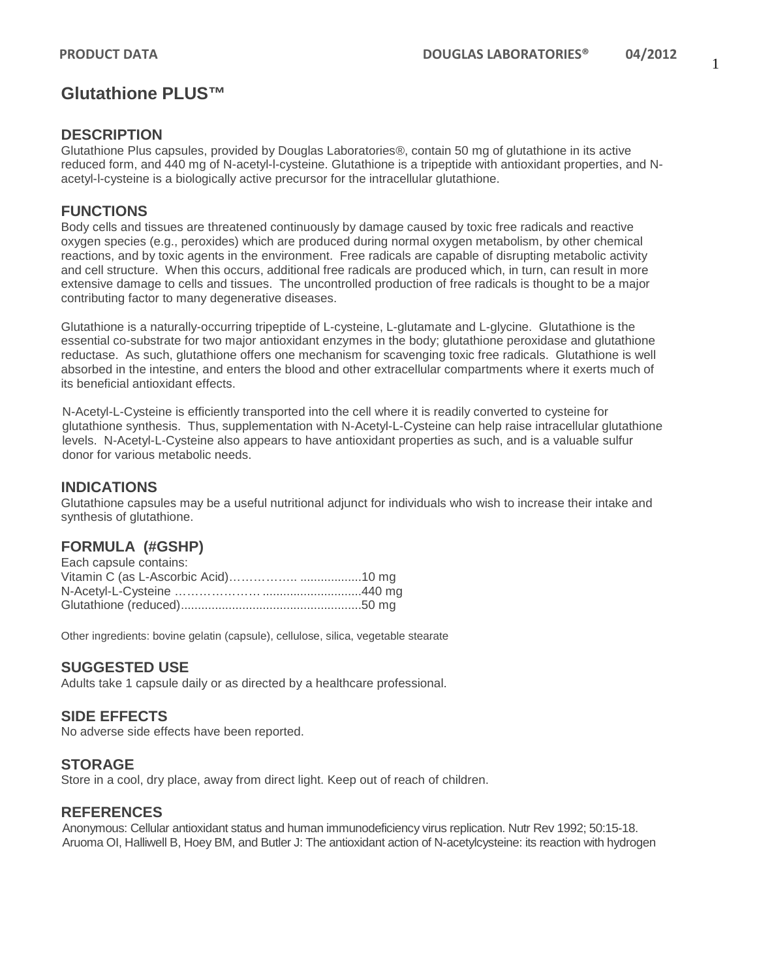# **Glutathione PLUS™**

## **DESCRIPTION**

Glutathione Plus capsules, provided by Douglas Laboratories®, contain 50 mg of glutathione in its active reduced form, and 440 mg of N-acetyl-l-cysteine. Glutathione is a tripeptide with antioxidant properties, and Nacetyl-l-cysteine is a biologically active precursor for the intracellular glutathione.

### **FUNCTIONS**

Body cells and tissues are threatened continuously by damage caused by toxic free radicals and reactive oxygen species (e.g., peroxides) which are produced during normal oxygen metabolism, by other chemical reactions, and by toxic agents in the environment. Free radicals are capable of disrupting metabolic activity and cell structure. When this occurs, additional free radicals are produced which, in turn, can result in more extensive damage to cells and tissues. The uncontrolled production of free radicals is thought to be a major contributing factor to many degenerative diseases.

Glutathione is a naturally-occurring tripeptide of L-cysteine, L-glutamate and L-glycine. Glutathione is the essential co-substrate for two major antioxidant enzymes in the body; glutathione peroxidase and glutathione reductase. As such, glutathione offers one mechanism for scavenging toxic free radicals. Glutathione is well absorbed in the intestine, and enters the blood and other extracellular compartments where it exerts much of its beneficial antioxidant effects.

N-Acetyl-L-Cysteine is efficiently transported into the cell where it is readily converted to cysteine for glutathione synthesis. Thus, supplementation with N-Acetyl-L-Cysteine can help raise intracellular glutathione levels. N-Acetyl-L-Cysteine also appears to have antioxidant properties as such, and is a valuable sulfur donor for various metabolic needs.

#### **INDICATIONS**

Glutathione capsules may be a useful nutritional adjunct for individuals who wish to increase their intake and synthesis of glutathione.

#### **FORMULA (#GSHP)**

| Each capsule contains: |  |
|------------------------|--|
|                        |  |
|                        |  |
|                        |  |

Other ingredients: bovine gelatin (capsule), cellulose, silica, vegetable stearate

#### **SUGGESTED USE**

Adults take 1 capsule daily or as directed by a healthcare professional.

#### **SIDE EFFECTS**

No adverse side effects have been reported.

#### **STORAGE**

Store in a cool, dry place, away from direct light. Keep out of reach of children.

#### **REFERENCES**

Anonymous: Cellular antioxidant status and human immunodeficiency virus replication. Nutr Rev 1992; 50:15-18. Aruoma OI, Halliwell B, Hoey BM, and Butler J: The antioxidant action of N-acetylcysteine: its reaction with hydrogen